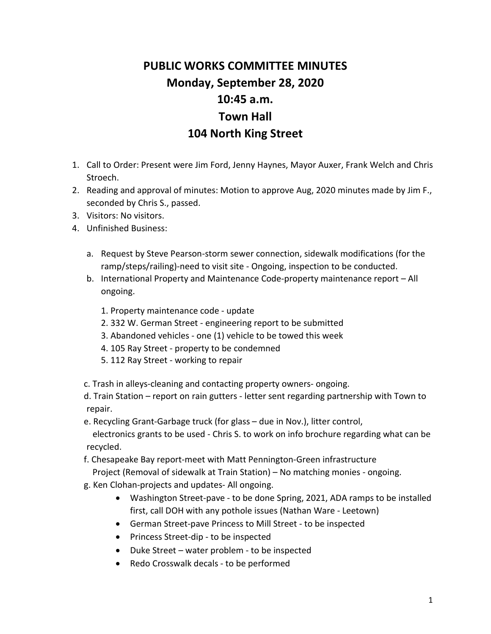## **PUBLIC WORKS COMMITTEE MINUTES Monday, September 28, 2020 10:45 a.m. Town Hall 104 North King Street**

- 1. Call to Order: Present were Jim Ford, Jenny Haynes, Mayor Auxer, Frank Welch and Chris Stroech.
- 2. Reading and approval of minutes: Motion to approve Aug, 2020 minutes made by Jim F., seconded by Chris S., passed.
- 3. Visitors: No visitors.
- 4. Unfinished Business:
	- a. Request by Steve Pearson-storm sewer connection, sidewalk modifications (for the ramp/steps/railing)-need to visit site - Ongoing, inspection to be conducted.
	- b. International Property and Maintenance Code-property maintenance report All ongoing.
		- 1. Property maintenance code update
		- 2. 332 W. German Street engineering report to be submitted
		- 3. Abandoned vehicles one (1) vehicle to be towed this week
		- 4. 105 Ray Street property to be condemned
		- 5. 112 Ray Street working to repair
	- c. Trash in alleys-cleaning and contacting property owners- ongoing.
	- d. Train Station report on rain gutters letter sent regarding partnership with Town to repair.
	- e. Recycling Grant-Garbage truck (for glass due in Nov.), litter control, electronics grants to be used - Chris S. to work on info brochure regarding what can be

recycled.

f. Chesapeake Bay report-meet with Matt Pennington-Green infrastructure

Project (Removal of sidewalk at Train Station) – No matching monies - ongoing.

- g. Ken Clohan-projects and updates- All ongoing.
	- Washington Street-pave to be done Spring, 2021, ADA ramps to be installed first, call DOH with any pothole issues (Nathan Ware - Leetown)
	- German Street-pave Princess to Mill Street to be inspected
	- Princess Street-dip to be inspected
	- Duke Street water problem to be inspected
	- Redo Crosswalk decals to be performed